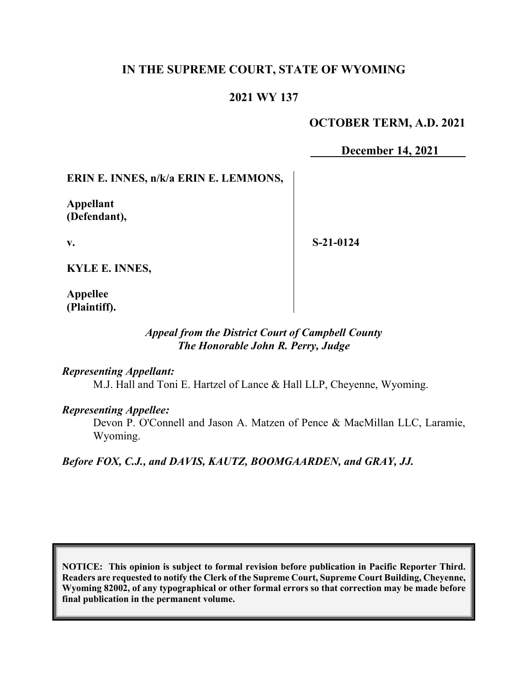## **IN THE SUPREME COURT, STATE OF WYOMING**

## **2021 WY 137**

## **OCTOBER TERM, A.D. 2021**

**December 14, 2021**

### **ERIN E. INNES, n/k/a ERIN E. LEMMONS,**

**Appellant (Defendant),**

**v.**

**S-21-0124**

**KYLE E. INNES,**

**Appellee (Plaintiff).**

# *Appeal from the District Court of Campbell County The Honorable John R. Perry, Judge*

#### *Representing Appellant:*

M.J. Hall and Toni E. Hartzel of Lance & Hall LLP, Cheyenne, Wyoming.

#### *Representing Appellee:*

Devon P. O'Connell and Jason A. Matzen of Pence & MacMillan LLC, Laramie, Wyoming.

*Before FOX, C.J., and DAVIS, KAUTZ, BOOMGAARDEN, and GRAY, JJ.*

**NOTICE: This opinion is subject to formal revision before publication in Pacific Reporter Third. Readers are requested to notify the Clerk of the Supreme Court, Supreme Court Building, Cheyenne, Wyoming 82002, of any typographical or other formal errors so that correction may be made before final publication in the permanent volume.**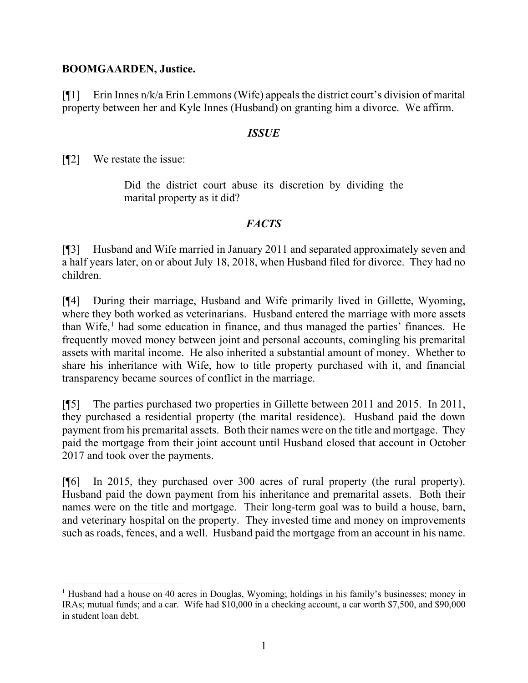### **BOOMGAARDEN, Justice.**

[¶1] Erin Innes n/k/a Erin Lemmons (Wife) appeals the district court's division of marital property between her and Kyle Innes (Husband) on granting him a divorce. We affirm.

### *ISSUE*

[¶2] We restate the issue:

Did the district court abuse its discretion by dividing the marital property as it did?

## *FACTS*

[¶3] Husband and Wife married in January 2011 and separated approximately seven and a half years later, on or about July 18, 2018, when Husband filed for divorce. They had no children.

[¶4] During their marriage, Husband and Wife primarily lived in Gillette, Wyoming, where they both worked as veterinarians. Husband entered the marriage with more assets than Wife, [1](#page-1-0) had some education in finance, and thus managed the parties' finances. He frequently moved money between joint and personal accounts, comingling his premarital assets with marital income. He also inherited a substantial amount of money. Whether to share his inheritance with Wife, how to title property purchased with it, and financial transparency became sources of conflict in the marriage.

[¶5] The parties purchased two properties in Gillette between 2011 and 2015. In 2011, they purchased a residential property (the marital residence). Husband paid the down payment from his premarital assets. Both their names were on the title and mortgage. They paid the mortgage from their joint account until Husband closed that account in October 2017 and took over the payments.

[¶6] In 2015, they purchased over 300 acres of rural property (the rural property). Husband paid the down payment from his inheritance and premarital assets. Both their names were on the title and mortgage. Their long-term goal was to build a house, barn, and veterinary hospital on the property. They invested time and money on improvements such as roads, fences, and a well. Husband paid the mortgage from an account in his name.

<span id="page-1-0"></span><sup>1</sup> Husband had a house on 40 acres in Douglas, Wyoming; holdings in his family's businesses; money in IRAs; mutual funds; and a car. Wife had \$10,000 in a checking account, a car worth \$7,500, and \$90,000 in student loan debt.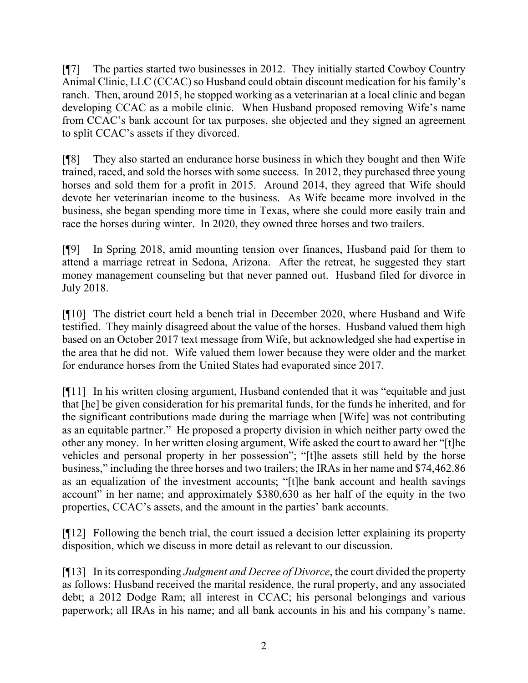[¶7] The parties started two businesses in 2012. They initially started Cowboy Country Animal Clinic, LLC (CCAC) so Husband could obtain discount medication for his family's ranch. Then, around 2015, he stopped working as a veterinarian at a local clinic and began developing CCAC as a mobile clinic. When Husband proposed removing Wife's name from CCAC's bank account for tax purposes, she objected and they signed an agreement to split CCAC's assets if they divorced.

[¶8] They also started an endurance horse business in which they bought and then Wife trained, raced, and sold the horses with some success. In 2012, they purchased three young horses and sold them for a profit in 2015. Around 2014, they agreed that Wife should devote her veterinarian income to the business. As Wife became more involved in the business, she began spending more time in Texas, where she could more easily train and race the horses during winter. In 2020, they owned three horses and two trailers.

[¶9] In Spring 2018, amid mounting tension over finances, Husband paid for them to attend a marriage retreat in Sedona, Arizona. After the retreat, he suggested they start money management counseling but that never panned out. Husband filed for divorce in July 2018.

[¶10] The district court held a bench trial in December 2020, where Husband and Wife testified. They mainly disagreed about the value of the horses. Husband valued them high based on an October 2017 text message from Wife, but acknowledged she had expertise in the area that he did not. Wife valued them lower because they were older and the market for endurance horses from the United States had evaporated since 2017.

[¶11] In his written closing argument, Husband contended that it was "equitable and just that [he] be given consideration for his premarital funds, for the funds he inherited, and for the significant contributions made during the marriage when [Wife] was not contributing as an equitable partner." He proposed a property division in which neither party owed the other any money. In her written closing argument, Wife asked the court to award her "[t]he vehicles and personal property in her possession"; "[t]he assets still held by the horse business," including the three horses and two trailers; the IRAs in her name and \$74,462.86 as an equalization of the investment accounts; "[t]he bank account and health savings account" in her name; and approximately \$380,630 as her half of the equity in the two properties, CCAC's assets, and the amount in the parties' bank accounts.

[¶12] Following the bench trial, the court issued a decision letter explaining its property disposition, which we discuss in more detail as relevant to our discussion.

[¶13] In its corresponding *Judgment and Decree of Divorce*, the court divided the property as follows: Husband received the marital residence, the rural property, and any associated debt; a 2012 Dodge Ram; all interest in CCAC; his personal belongings and various paperwork; all IRAs in his name; and all bank accounts in his and his company's name.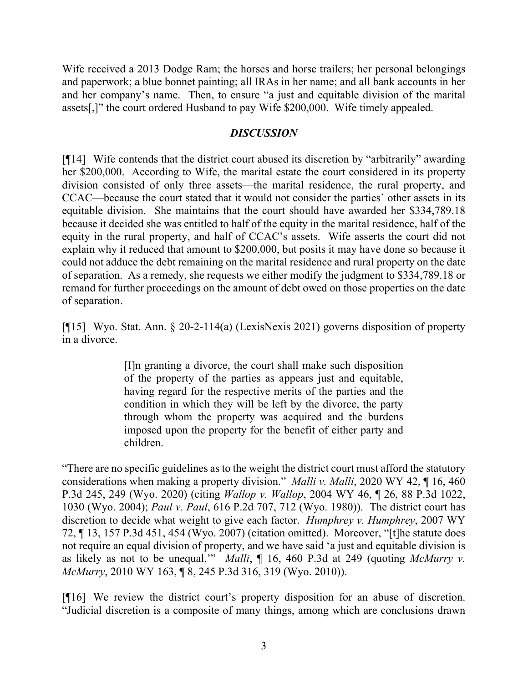Wife received a 2013 Dodge Ram; the horses and horse trailers; her personal belongings and paperwork; a blue bonnet painting; all IRAs in her name; and all bank accounts in her and her company's name. Then, to ensure "a just and equitable division of the marital assets[,]" the court ordered Husband to pay Wife \$200,000. Wife timely appealed.

### *DISCUSSION*

[¶14] Wife contends that the district court abused its discretion by "arbitrarily" awarding her \$200,000. According to Wife, the marital estate the court considered in its property division consisted of only three assets—the marital residence, the rural property, and CCAC—because the court stated that it would not consider the parties' other assets in its equitable division. She maintains that the court should have awarded her \$334,789.18 because it decided she was entitled to half of the equity in the marital residence, half of the equity in the rural property, and half of CCAC's assets. Wife asserts the court did not explain why it reduced that amount to \$200,000, but posits it may have done so because it could not adduce the debt remaining on the marital residence and rural property on the date of separation. As a remedy, she requests we either modify the judgment to \$334,789.18 or remand for further proceedings on the amount of debt owed on those properties on the date of separation.

[¶15] Wyo. Stat. Ann. § 20-2-114(a) (LexisNexis 2021) governs disposition of property in a divorce.

> [I]n granting a divorce, the court shall make such disposition of the property of the parties as appears just and equitable, having regard for the respective merits of the parties and the condition in which they will be left by the divorce, the party through whom the property was acquired and the burdens imposed upon the property for the benefit of either party and children.

"There are no specific guidelines as to the weight the district court must afford the statutory considerations when making a property division." *Malli v. Malli*, 2020 WY 42, ¶ 16, 460 P.3d 245, 249 (Wyo. 2020) (citing *Wallop v. Wallop*, 2004 WY 46, ¶ 26, 88 P.3d 1022, 1030 (Wyo. 2004); *Paul v. Paul*, 616 P.2d 707, 712 (Wyo. 1980)). The district court has discretion to decide what weight to give each factor. *Humphrey v. Humphrey*, 2007 WY 72, ¶ 13, 157 P.3d 451, 454 (Wyo. 2007) (citation omitted). Moreover, "[t]he statute does not require an equal division of property, and we have said 'a just and equitable division is as likely as not to be unequal.'" *Malli*, ¶ 16, 460 P.3d at 249 (quoting *McMurry v. McMurry*, 2010 WY 163, ¶ 8, 245 P.3d 316, 319 (Wyo. 2010)).

[¶16] We review the district court's property disposition for an abuse of discretion. "Judicial discretion is a composite of many things, among which are conclusions drawn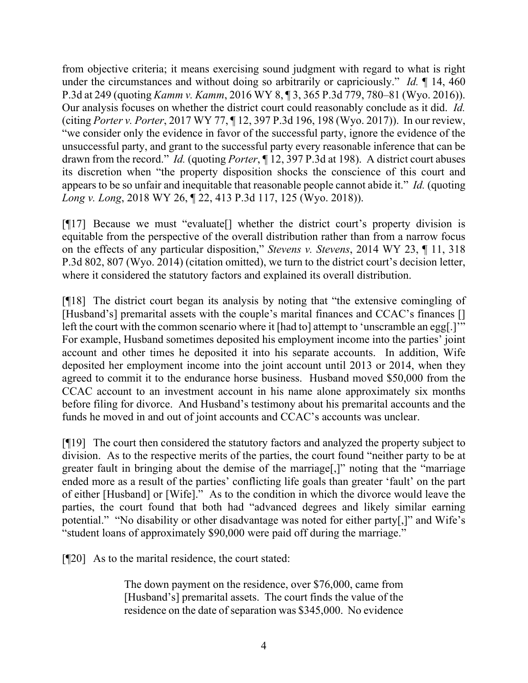from objective criteria; it means exercising sound judgment with regard to what is right under the circumstances and without doing so arbitrarily or capriciously." *Id.* ¶ 14, 460 P.3d at 249 (quoting *Kamm v. Kamm*, 2016 WY 8, ¶ 3, 365 P.3d 779, 780–81 (Wyo. 2016)). Our analysis focuses on whether the district court could reasonably conclude as it did. *Id.* (citing *Porter v. Porter*, 2017 WY 77, ¶ 12, 397 P.3d 196, 198 (Wyo. 2017)). In our review, "we consider only the evidence in favor of the successful party, ignore the evidence of the unsuccessful party, and grant to the successful party every reasonable inference that can be drawn from the record." *Id.* (quoting *Porter*, ¶ 12, 397 P.3d at 198). A district court abuses its discretion when "the property disposition shocks the conscience of this court and appears to be so unfair and inequitable that reasonable people cannot abide it." *Id.* (quoting *Long v. Long*, 2018 WY 26, ¶ 22, 413 P.3d 117, 125 (Wyo. 2018)).

[¶17] Because we must "evaluate[] whether the district court's property division is equitable from the perspective of the overall distribution rather than from a narrow focus on the effects of any particular disposition," *Stevens v. Stevens*, 2014 WY 23, ¶ 11, 318 P.3d 802, 807 (Wyo. 2014) (citation omitted), we turn to the district court's decision letter, where it considered the statutory factors and explained its overall distribution.

[¶18] The district court began its analysis by noting that "the extensive comingling of [Husband's] premarital assets with the couple's marital finances and CCAC's finances [] left the court with the common scenario where it [had to] attempt to 'unscramble an egg[.]'" For example, Husband sometimes deposited his employment income into the parties' joint account and other times he deposited it into his separate accounts. In addition, Wife deposited her employment income into the joint account until 2013 or 2014, when they agreed to commit it to the endurance horse business. Husband moved \$50,000 from the CCAC account to an investment account in his name alone approximately six months before filing for divorce. And Husband's testimony about his premarital accounts and the funds he moved in and out of joint accounts and CCAC's accounts was unclear.

[¶19] The court then considered the statutory factors and analyzed the property subject to division. As to the respective merits of the parties, the court found "neither party to be at greater fault in bringing about the demise of the marriage[,]" noting that the "marriage ended more as a result of the parties' conflicting life goals than greater 'fault' on the part of either [Husband] or [Wife]." As to the condition in which the divorce would leave the parties, the court found that both had "advanced degrees and likely similar earning potential." "No disability or other disadvantage was noted for either party[,]" and Wife's "student loans of approximately \$90,000 were paid off during the marriage."

[¶20] As to the marital residence, the court stated:

The down payment on the residence, over \$76,000, came from [Husband's] premarital assets. The court finds the value of the residence on the date of separation was \$345,000. No evidence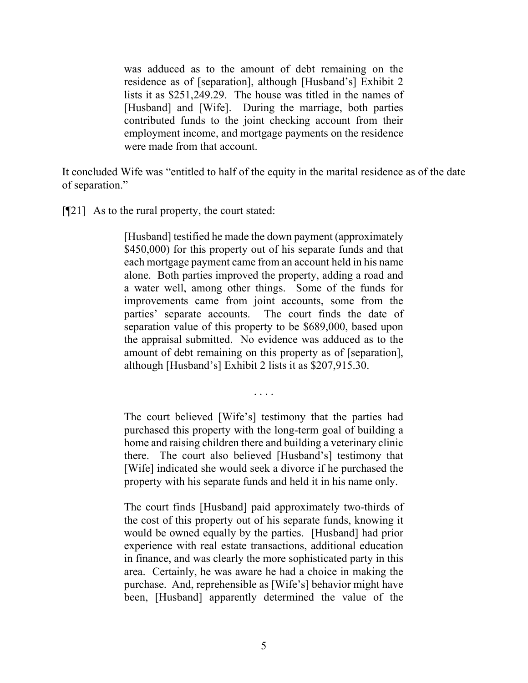was adduced as to the amount of debt remaining on the residence as of [separation], although [Husband's] Exhibit 2 lists it as \$251,249.29. The house was titled in the names of [Husband] and [Wife]. During the marriage, both parties contributed funds to the joint checking account from their employment income, and mortgage payments on the residence were made from that account.

It concluded Wife was "entitled to half of the equity in the marital residence as of the date of separation."

[¶21] As to the rural property, the court stated:

[Husband] testified he made the down payment (approximately \$450,000) for this property out of his separate funds and that each mortgage payment came from an account held in his name alone. Both parties improved the property, adding a road and a water well, among other things. Some of the funds for improvements came from joint accounts, some from the parties' separate accounts. The court finds the date of separation value of this property to be \$689,000, based upon the appraisal submitted. No evidence was adduced as to the amount of debt remaining on this property as of [separation], although [Husband's] Exhibit 2 lists it as \$207,915.30.

. . . .

The court believed [Wife's] testimony that the parties had purchased this property with the long-term goal of building a home and raising children there and building a veterinary clinic there. The court also believed [Husband's] testimony that [Wife] indicated she would seek a divorce if he purchased the property with his separate funds and held it in his name only.

The court finds [Husband] paid approximately two-thirds of the cost of this property out of his separate funds, knowing it would be owned equally by the parties. [Husband] had prior experience with real estate transactions, additional education in finance, and was clearly the more sophisticated party in this area. Certainly, he was aware he had a choice in making the purchase. And, reprehensible as [Wife's] behavior might have been, [Husband] apparently determined the value of the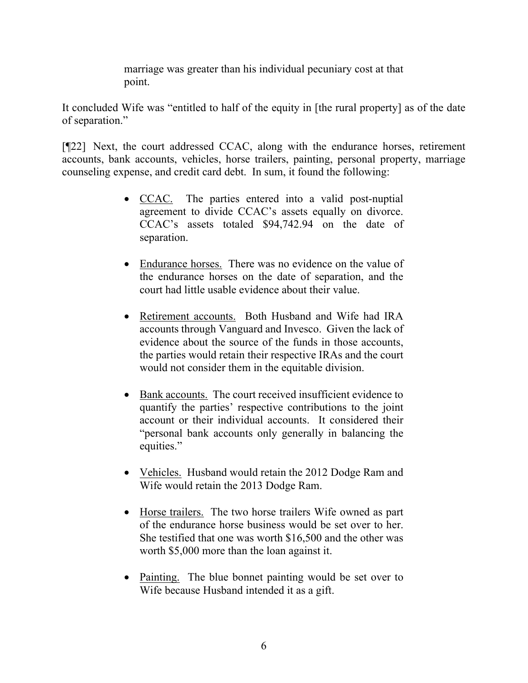marriage was greater than his individual pecuniary cost at that point.

It concluded Wife was "entitled to half of the equity in [the rural property] as of the date of separation."

[¶22] Next, the court addressed CCAC, along with the endurance horses, retirement accounts, bank accounts, vehicles, horse trailers, painting, personal property, marriage counseling expense, and credit card debt. In sum, it found the following:

- CCAC. The parties entered into a valid post-nuptial agreement to divide CCAC's assets equally on divorce. CCAC's assets totaled \$94,742.94 on the date of separation.
- Endurance horses. There was no evidence on the value of the endurance horses on the date of separation, and the court had little usable evidence about their value.
- Retirement accounts. Both Husband and Wife had IRA accounts through Vanguard and Invesco. Given the lack of evidence about the source of the funds in those accounts, the parties would retain their respective IRAs and the court would not consider them in the equitable division.
- Bank accounts. The court received insufficient evidence to quantify the parties' respective contributions to the joint account or their individual accounts. It considered their "personal bank accounts only generally in balancing the equities."
- Vehicles. Husband would retain the 2012 Dodge Ram and Wife would retain the 2013 Dodge Ram.
- Horse trailers. The two horse trailers Wife owned as part of the endurance horse business would be set over to her. She testified that one was worth \$16,500 and the other was worth \$5,000 more than the loan against it.
- Painting. The blue bonnet painting would be set over to Wife because Husband intended it as a gift.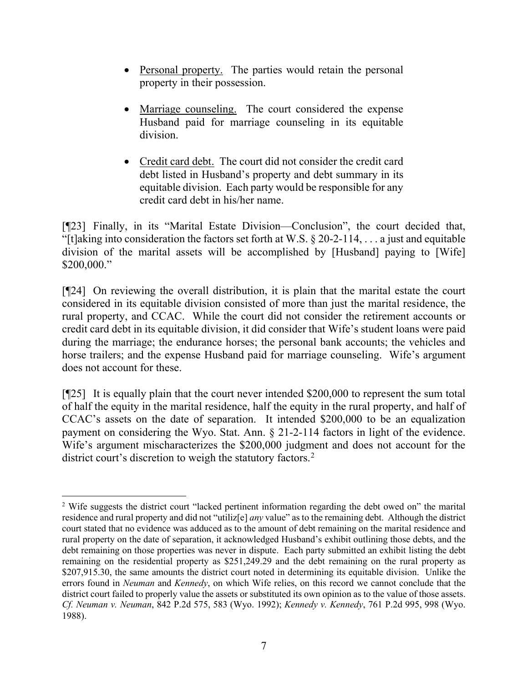- Personal property. The parties would retain the personal property in their possession.
- Marriage counseling. The court considered the expense Husband paid for marriage counseling in its equitable division.
- Credit card debt. The court did not consider the credit card debt listed in Husband's property and debt summary in its equitable division. Each party would be responsible for any credit card debt in his/her name.

[¶23] Finally, in its "Marital Estate Division—Conclusion", the court decided that, "[t]aking into consideration the factors set forth at W.S.  $\S 20$ -2-114, ... a just and equitable division of the marital assets will be accomplished by [Husband] paying to [Wife] \$200,000."

[¶24] On reviewing the overall distribution, it is plain that the marital estate the court considered in its equitable division consisted of more than just the marital residence, the rural property, and CCAC. While the court did not consider the retirement accounts or credit card debt in its equitable division, it did consider that Wife's student loans were paid during the marriage; the endurance horses; the personal bank accounts; the vehicles and horse trailers; and the expense Husband paid for marriage counseling. Wife's argument does not account for these.

[¶25] It is equally plain that the court never intended \$200,000 to represent the sum total of half the equity in the marital residence, half the equity in the rural property, and half of CCAC's assets on the date of separation. It intended \$200,000 to be an equalization payment on considering the Wyo. Stat. Ann. § 21-2-114 factors in light of the evidence. Wife's argument mischaracterizes the \$200,000 judgment and does not account for the district court's discretion to weigh the statutory factors. [2](#page-7-0)

<span id="page-7-0"></span><sup>&</sup>lt;sup>2</sup> Wife suggests the district court "lacked pertinent information regarding the debt owed on" the marital residence and rural property and did not "utiliz[e] *any* value" as to the remaining debt. Although the district court stated that no evidence was adduced as to the amount of debt remaining on the marital residence and rural property on the date of separation, it acknowledged Husband's exhibit outlining those debts, and the debt remaining on those properties was never in dispute. Each party submitted an exhibit listing the debt remaining on the residential property as \$251,249.29 and the debt remaining on the rural property as \$207,915.30, the same amounts the district court noted in determining its equitable division. Unlike the errors found in *Neuman* and *Kennedy*, on which Wife relies, on this record we cannot conclude that the district court failed to properly value the assets or substituted its own opinion as to the value of those assets. *Cf. Neuman v. Neuman*, 842 P.2d 575, 583 (Wyo. 1992); *Kennedy v. Kennedy*, 761 P.2d 995, 998 (Wyo. 1988).